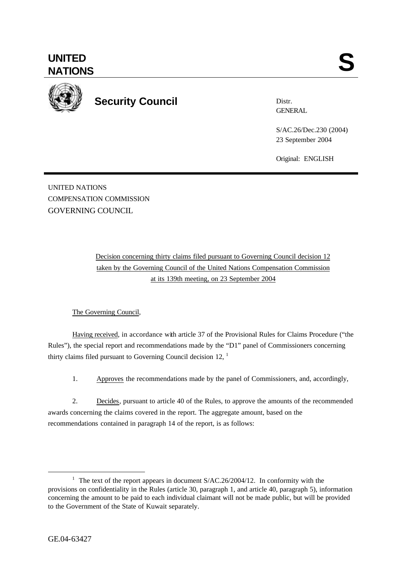

**Security Council**

Distr. **GENERAL** 

S/AC.26/Dec.230 (2004) 23 September 2004

Original: ENGLISH

UNITED NATIONS COMPENSATION COMMISSION GOVERNING COUNCIL

> Decision concerning thirty claims filed pursuant to Governing Council decision 12 taken by the Governing Council of the United Nations Compensation Commission at its 139th meeting, on 23 September 2004

## The Governing Council,

Having received, in accordance with article 37 of the Provisional Rules for Claims Procedure ("the Rules"), the special report and recommendations made by the "D1" panel of Commissioners concerning thirty claims filed pursuant to Governing Council decision 12,  $<sup>1</sup>$ </sup>

1. Approves the recommendations made by the panel of Commissioners, and, accordingly,

2. Decides, pursuant to article 40 of the Rules, to approve the amounts of the recommended awards concerning the claims covered in the report. The aggregate amount, based on the recommendations contained in paragraph 14 of the report, is as follows:

l

<sup>&</sup>lt;sup>1</sup> The text of the report appears in document  $S/AC.26/2004/12$ . In conformity with the provisions on confidentiality in the Rules (article 30, paragraph 1, and article 40, paragraph 5), information concerning the amount to be paid to each individual claimant will not be made public, but will be provided to the Government of the State of Kuwait separately.